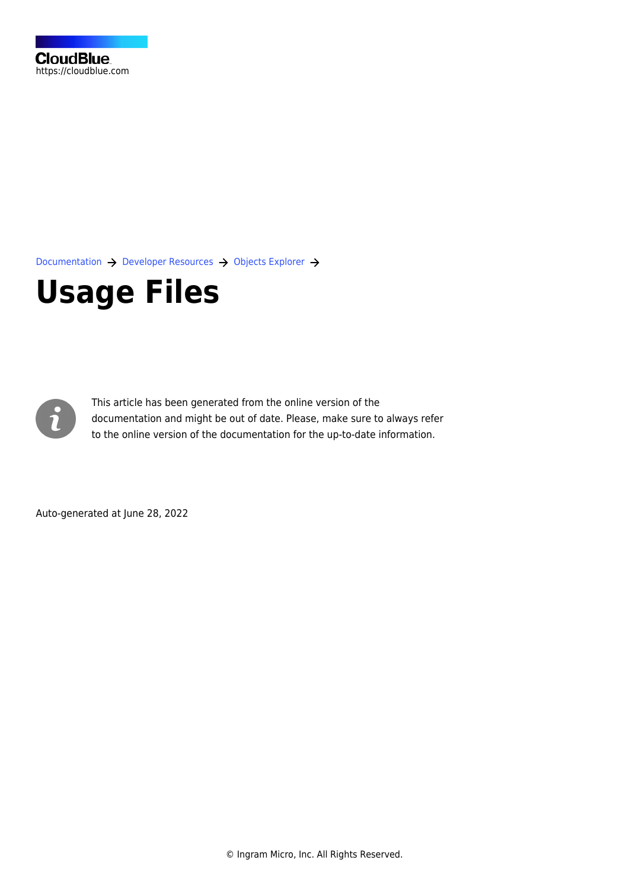

[Documentation](https://connect.cloudblue.com/documentation)  $\rightarrow$  [Developer Resources](https://connect.cloudblue.com/community/developers/)  $\rightarrow$  [Objects Explorer](https://connect.cloudblue.com/community/developers/objects/)  $\rightarrow$ 

# **[Usage Files](https://connect.cloudblue.com/community/developers/objects/usage-files/)**



This article has been generated from the online version of the documentation and might be out of date. Please, make sure to always refer to the online version of the documentation for the up-to-date information.

Auto-generated at June 28, 2022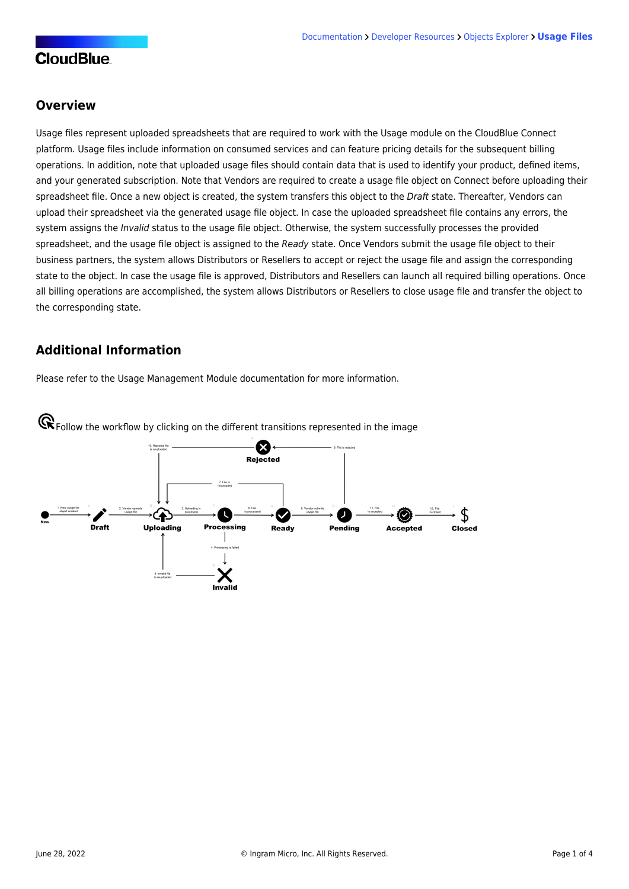#### **Overview**

Usage files represent uploaded spreadsheets that are required to work with the Usage module on the CloudBlue Connect platform. Usage files include information on consumed services and can feature pricing details for the subsequent billing operations. In addition, note that uploaded usage files should contain data that is used to identify your product, defined items, and your generated subscription. Note that Vendors are required to create a usage file object on Connect before uploading their spreadsheet file. Once a new object is created, the system transfers this object to the Draft state. Thereafter, Vendors can upload their spreadsheet via the generated usage file object. In case the uploaded spreadsheet file contains any errors, the system assigns the Invalid status to the usage file object. Otherwise, the system successfully processes the provided spreadsheet, and the usage file object is assigned to the Ready state. Once Vendors submit the usage file object to their business partners, the system allows Distributors or Resellers to accept or reject the usage file and assign the corresponding state to the object. In case the usage file is approved, Distributors and Resellers can launch all required billing operations. Once all billing operations are accomplished, the system allows Distributors or Resellers to close usage file and transfer the object to the corresponding state.

#### **Additional Information**

Please refer to the [Usage Management Module](https://connect.cloudblue.com/community/modules/usage/) documentation for more information.

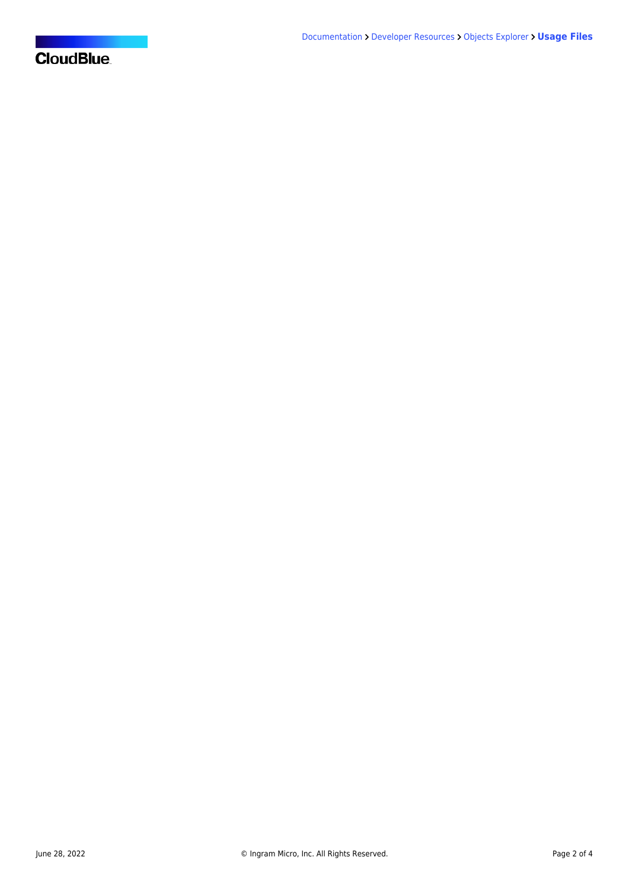## **CloudBlue**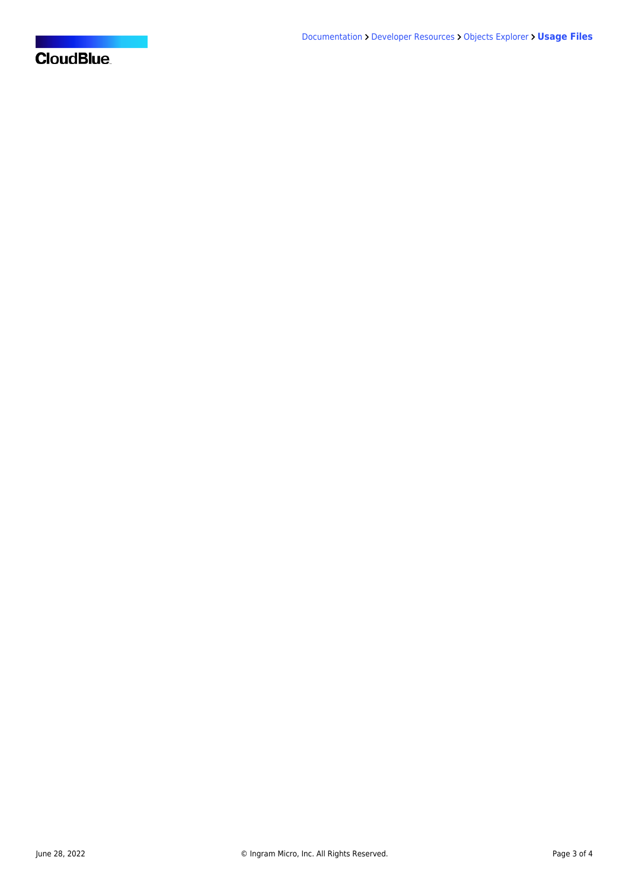## **CloudBlue**